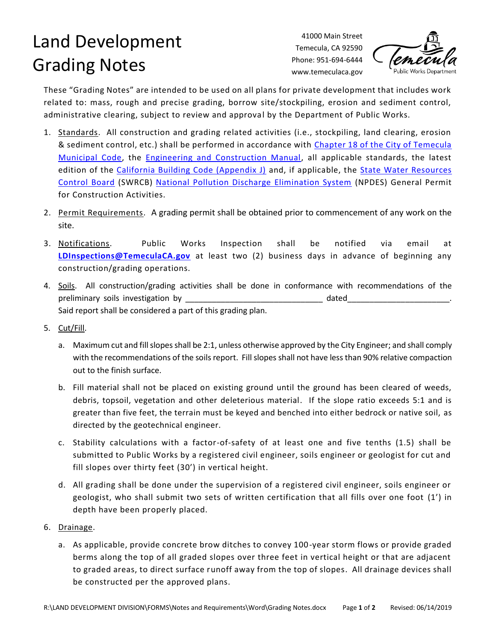## Land Development Grading Notes

41000 Main Street Temecula, CA 92590 Phone: 951-694-6444 www.temeculaca.gov



These "Grading Notes" are intended to be used on all plans for private development that includes work related to: mass, rough and precise grading, borrow site/stockpiling, erosion and sediment control, administrative clearing, subject to review and approval by the Department of Public Works.

- 1. Standards. All construction and grading related activities (i.e., stockpiling, land clearing, erosion & sediment control, etc.) shall be performed in accordance with [Chapter 18 of the City of Temecula](http://www.qcode.us/codes/temecula/?view=desktop&topic=18)  [Municipal Code,](http://www.qcode.us/codes/temecula/?view=desktop&topic=18) the [Engineering and Construction Manual,](https://temeculaca.gov/DocumentCenter/View/3083/Engineering-and-Construction-Manual) all applicable standards, the latest edition of the [California Building Code \(Appendix J\)](https://codes.iccsafe.org/content/chapter/10063/) and, if applicable, the [State Water Resources](https://www.waterboards.ca.gov/)  [Control Board](https://www.waterboards.ca.gov/) (SWRCB) [National Pollution Discharge Elimination System](https://www.epa.gov/npdes) (NPDES) General Permit for Construction Activities.
- 2. Permit Requirements. A grading permit shall be obtained prior to commencement of any work on the site.
- 3. Notifications. Public Works Inspection shall be notified via email at **[LDInspections@TemeculaCA.gov](mailto:LDInspections@TemeculaCA.gov)** at least two (2) business days in advance of beginning any construction/grading operations.
- 4. Soils. All construction/grading activities shall be done in conformance with recommendations of the preliminary soils investigation by example and the dated dated dated and  $\mathbf{r}$ Said report shall be considered a part of this grading plan.
- 5. Cut/Fill.
	- a. Maximum cut and fill slopes shall be 2:1, unless otherwise approved by the City Engineer; and shall comply with the recommendations of the soils report. Fill slopes shall not have less than 90% relative compaction out to the finish surface.
	- b. Fill material shall not be placed on existing ground until the ground has been cleared of weeds, debris, topsoil, vegetation and other deleterious material. If the slope ratio exceeds 5:1 and is greater than five feet, the terrain must be keyed and benched into either bedrock or native soil, as directed by the geotechnical engineer.
	- c. Stability calculations with a factor-of-safety of at least one and five tenths (1.5) shall be submitted to Public Works by a registered civil engineer, soils engineer or geologist for cut and fill slopes over thirty feet (30') in vertical height.
	- d. All grading shall be done under the supervision of a registered civil engineer, soils engineer or geologist, who shall submit two sets of written certification that all fills over one foot (1') in depth have been properly placed.
- 6. Drainage.
	- a. As applicable, provide concrete brow ditches to convey 100-year storm flows or provide graded berms along the top of all graded slopes over three feet in vertical height or that are adjacent to graded areas, to direct surface runoff away from the top of slopes. All drainage devices shall be constructed per the approved plans.